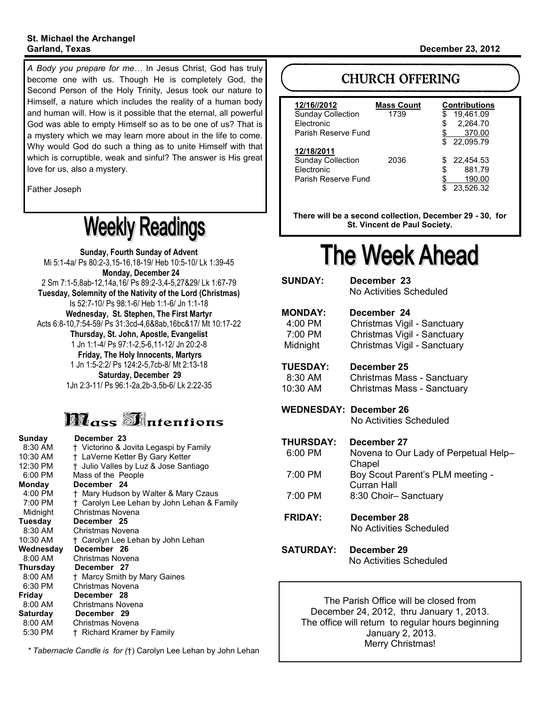# **St. Michael the Archangel**

*A Body you prepare for me…* In Jesus Christ, God has truly become one with us. Though He is completely God, the Second Person of the Holy Trinity, Jesus took our nature to Himself, a nature which includes the reality of a human body and human will. How is it possible that the eternal, all powerful God was able to empty Himself so as to be one of us? That is a mystery which we may learn more about in the life to come. Why would God do such a thing as to unite Himself with that which is corruptible, weak and sinful? The answer is His great love for us, also a mystery.

Father Joseph

# **Weekly Readings**

**Sunday, Fourth Sunday of Advent** Mi 5:1-4a/ Ps 80:2-3,15-16,18-19/ Heb 10:5-10/ Lk 1:39-45  **Monday, December 24** 2 Sm 7:1-5,8ab-12,14a,16/ Ps 89:2-3,4-5,27&29/ Lk 1:67-79 **Tuesday, Solemnity of the Nativity of the Lord (Christmas)** Is 52:7-10/ Ps 98:1-6/ Heb 1:1-6/ Jn 1:1-18 **Wednesday, St. Stephen, The First Martyr** Acts 6:8-10,7:54-59/ Ps 31:3cd-4,6&8ab,16bc&17/ Mt 10:17-22 **Thursday, St. John, Apostle, Evangelist** 1 Jn 1:1-4/ Ps 97:1-2,5-6,11-12/ Jn 20:2-8 **Friday, The Holy Innocents, Martyrs** 1 Jn 1:5-2:2/ Ps 124:2-5,7cb-8/ Mt 2:13-18 **Saturday, December 29** 1Jn 2:3-11/ Ps 96:1-2a,2b-3,5b-6/ Lk 2:22-35

# **Mass Materitions**

| Sunday    | December 23                                |
|-----------|--------------------------------------------|
| 8:30 AM   | † Victorino & Jovita Legaspi by Family     |
| 10:30 AM  | † LaVerne Ketter By Gary Ketter            |
| 12:30 PM  | t Julio Valles by Luz & Jose Santiago      |
| 6:00 PM   | Mass of the People                         |
| Mondav    | December 24                                |
| 4:00 PM   | † Mary Hudson by Walter & Mary Czaus       |
| 7:00 PM   | † Carolyn Lee Lehan by John Lehan & Family |
| Midnight  | Christmas Novena                           |
| Tuesday   | December 25                                |
| 8:30 AM   | Christmas Novena                           |
| 10:30 AM  | † Carolyn Lee Lehan by John Lehan          |
| Wednesday | December 26                                |
| 8:00 AM   | Christmas Novena                           |
| Thursday  | December 27                                |
| 8:00 AM   | <sup>†</sup> Marcy Smith by Mary Gaines    |
| 6:30 PM   | Christmas Novena                           |
| Friday    | December 28                                |
| 8:00 AM   | Christmans Novena                          |
| Saturday  | December 29                                |
| 8:00 AM   | Christmas Novena                           |
| 5:30 PM   | † Richard Kramer by Family                 |

*\* Tabernacle Candle is for (*†) Carolyn Lee Lehan by John Lehan

### **Garland, Texas December 23, 2012**

# **CHURCH OFFERING**

| 12/16//2012<br><b>Sunday Collection</b><br><b>Flectronic</b><br>Parish Reserve Fund | <b>Mass Count</b><br>1739 | <b>Contributions</b><br>19,461.09<br>S<br>2,264.70<br>\$<br>370.00<br>22.095.79<br>\$. |
|-------------------------------------------------------------------------------------|---------------------------|----------------------------------------------------------------------------------------|
| 12/18/2011<br><b>Sunday Collection</b><br>Electronic<br>Parish Reserve Fund         | 2036                      | 22.454.53<br>881.79<br>\$<br>190.00<br>23.526.32                                       |

**There will be a second collection, December 29 - 30, for St. Vincent de Paul Society.** 

# **The Week Ahead**

**SUNDAY: December 23** No Activities Scheduled **MONDAY: December 24** 4:00 PM Christmas Vigil - Sanctuary 7:00 PM Christmas Vigil - Sanctuary Midnight Christmas Vigil - Sanctuary **TUESDAY: December 25** 8:30 AM Christmas Mass - Sanctuary 10:30 AM Christmas Mass - Sanctuary

**WEDNESDAY: December 26** No Activities Scheduled

**THURSDAY: December 27** 6:00 PM Novena to Our Lady of Perpetual Help– Chapel 7:00 PM Boy Scout Parent's PLM meeting -

Curran Hall 7:00 PM 8:30 Choir– Sanctuary

**FRIDAY: December 28** No Activities Scheduled

**SATURDAY: December 29** No Activities Scheduled

> The Parish Office will be closed from December 24, 2012, thru January 1, 2013. The office will return to regular hours beginning January 2, 2013. Merry Christmas!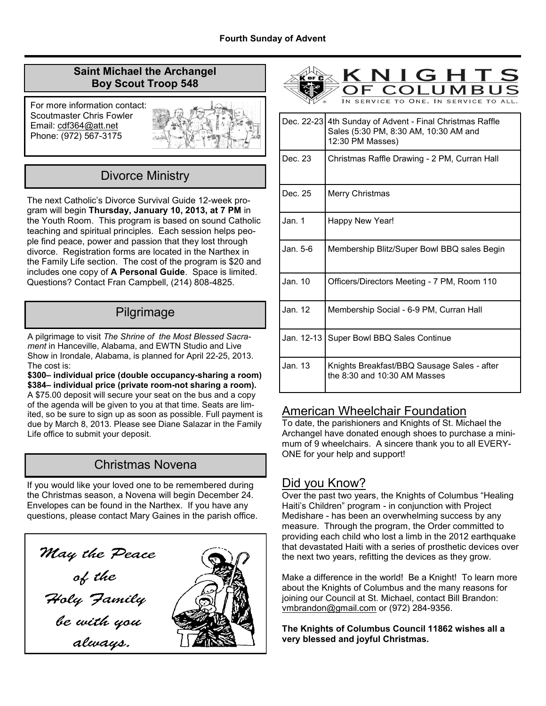### **Saint Michael the Archangel Boy Scout Troop 548**

For more information contact: Scoutmaster Chris Fowler Email: cdf364@att.net Phone: (972) 567-3175



# Divorce Ministry

The next Catholic's Divorce Survival Guide 12-week program will begin **Thursday, January 10, 2013, at 7 PM** in the Youth Room. This program is based on sound Catholic teaching and spiritual principles. Each session helps people find peace, power and passion that they lost through divorce. Registration forms are located in the Narthex in the Family Life section. The cost of the program is \$20 and includes one copy of **A Personal Guide**. Space is limited. Questions? Contact Fran Campbell, (214) 808-4825.

# Pilgrimage

A pilgrimage to visit *The Shrine of the Most Blessed Sacrament* in Hanceville, Alabama, and EWTN Studio and Live Show in Irondale, Alabama, is planned for April 22-25, 2013. The cost is:

**\$300– individual price (double occupancy-sharing a room) \$384– individual price (private room-not sharing a room).**  A \$75.00 deposit will secure your seat on the bus and a copy of the agenda will be given to you at that time. Seats are limited, so be sure to sign up as soon as possible. Full payment is due by March 8, 2013. Please see Diane Salazar in the Family Life office to submit your deposit.

# Christmas Novena

If you would like your loved one to be remembered during the Christmas season, a Novena will begin December 24. Envelopes can be found in the Narthex. If you have any questions, please contact Mary Gaines in the parish office.





| Dec. 22-23 | 4th Sunday of Advent - Final Christmas Raffle<br>Sales (5:30 PM, 8:30 AM, 10:30 AM and<br>12:30 PM Masses) |
|------------|------------------------------------------------------------------------------------------------------------|
| Dec. 23    | Christmas Raffle Drawing - 2 PM, Curran Hall                                                               |
| Dec. 25    | Merry Christmas                                                                                            |
| Jan. 1     | Happy New Year!                                                                                            |
| Jan. 5-6.  | Membership Blitz/Super Bowl BBQ sales Begin                                                                |
| Jan. 10    | Officers/Directors Meeting - 7 PM, Room 110                                                                |
| Jan. 12    | Membership Social - 6-9 PM, Curran Hall                                                                    |
| Jan. 12-13 | Super Bowl BBQ Sales Continue                                                                              |
| Jan. 13    | Knights Breakfast/BBQ Sausage Sales - after<br>the 8:30 and 10:30 AM Masses                                |

### American Wheelchair Foundation

To date, the parishioners and Knights of St. Michael the Archangel have donated enough shoes to purchase a minimum of 9 wheelchairs. A sincere thank you to all EVERY-ONE for your help and support!

### Did you Know?

Over the past two years, the Knights of Columbus "Healing Haiti's Children" program - in conjunction with Project Medishare - has been an overwhelming success by any measure. Through the program, the Order committed to providing each child who lost a limb in the 2012 earthquake that devastated Haiti with a series of prosthetic devices over the next two years, refitting the devices as they grow.

Make a difference in the world! Be a Knight! To learn more about the Knights of Columbus and the many reasons for joining our Council at St. Michael, contact Bill Brandon: vmbrandon@gmail.com or (972) 284-9356.

**The Knights of Columbus Council 11862 wishes all a very blessed and joyful Christmas.**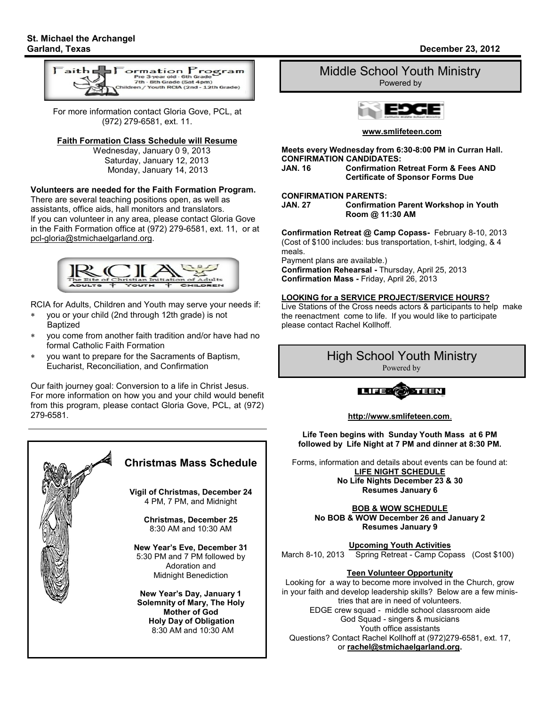

For more information contact Gloria Gove, PCL, at (972) 279-6581, ext. 11.

#### **Faith Formation Class Schedule will Resume**

 Wednesday, January 0 9, 2013 Saturday, January 12, 2013 Monday, January 14, 2013

### **Volunteers are needed for the Faith Formation Program.**

There are several teaching positions open, as well as assistants, office aids, hall monitors and translators. If you can volunteer in any area, please contact Gloria Gove in the Faith Formation office at (972) 279-6581, ext. 11, or at pcl-gloria@stmichaelgarland.org.



RCIA for Adults, Children and Youth may serve your needs if:

- you or your child (2nd through 12th grade) is not Baptized
- you come from another faith tradition and/or have had no formal Catholic Faith Formation
- you want to prepare for the Sacraments of Baptism, Eucharist, Reconciliation, and Confirmation

Our faith journey goal: Conversion to a life in Christ Jesus. For more information on how you and your child would benefit from this program, please contact Gloria Gove, PCL, at (972) 279-6581.



# Middle School Youth Ministry

Powered by



**www.smlifeteen.com**

**Meets every Wednesday from 6:30-8:00 PM in Curran Hall. CONFIRMATION CANDIDATES: Confirmation Retreat Form & Fees AND** 

### **Certificate of Sponsor Forms Due**

# **CONFIRMATION PARENTS:**

**Confirmation Parent Workshop in Youth Room @ 11:30 AM**

**Confirmation Retreat @ Camp Copass-** February 8-10, 2013 (Cost of \$100 includes: bus transportation, t-shirt, lodging, & 4 meals.

Payment plans are available.)

**Confirmation Rehearsal -** Thursday, April 25, 2013 **Confirmation Mass -** Friday, April 26, 2013

### **LOOKING for a SERVICE PROJECT/SERVICE HOURS?**

Live Stations of the Cross needs actors & participants to help make the reenactment come to life. If you would like to participate please contact Rachel Kollhoff.

# High School Youth Ministry

Powered by



#### **http://www.smlifeteen.com**.

**Life Teen begins with Sunday Youth Mass at 6 PM followed by Life Night at 7 PM and dinner at 8:30 PM.** 

Forms, information and details about events can be found at: **LIFE NIGHT SCHEDULE No Life Nights December 23 & 30 Resumes January 6**

> **BOB & WOW SCHEDULE No BOB & WOW December 26 and January 2 Resumes January 9**

**Upcoming Youth Activities**<br>March 8-10, 2013 Spring Retreat - Camp Cop Spring Retreat - Camp Copass (Cost \$100)

### **Teen Volunteer Opportunity**

Looking for a way to become more involved in the Church, grow in your faith and develop leadership skills? Below are a few ministries that are in need of volunteers. EDGE crew squad - middle school classroom aide God Squad - singers & musicians Youth office assistants Questions? Contact Rachel Kollhoff at (972)279-6581, ext. 17, or **rachel@stmichaelgarland.org.**